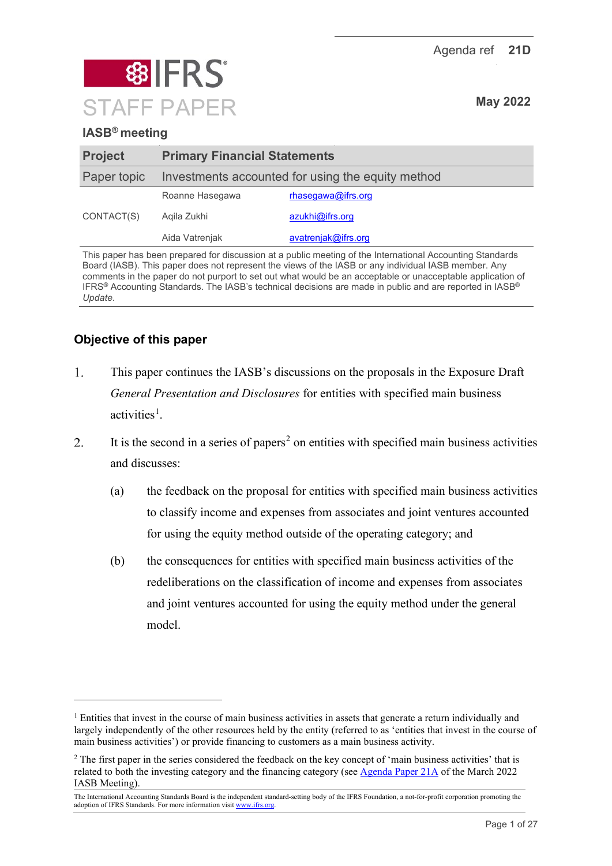Agenda ref **21D**



# **IASB® meeting**

| <b>Project</b> | <b>Primary Financial Statements</b>               |                       |  |
|----------------|---------------------------------------------------|-----------------------|--|
| Paper topic    | Investments accounted for using the equity method |                       |  |
|                | Roanne Hasegawa                                   | $r$ hasegawa@ifrs.org |  |
| CONTACT(S)     | Agila Zukhi                                       | azukhi@ifrs.org       |  |
|                | Aida Vatrenjak                                    | avatrenjak@ifrs.org   |  |
|                |                                                   |                       |  |

This paper has been prepared for discussion at a public meeting of the International Accounting Standards Board (IASB). This paper does not represent the views of the IASB or any individual IASB member. Any comments in the paper do not purport to set out what would be an acceptable or unacceptable application of IFRS® Accounting Standards. The IASB's technical decisions are made in public and are reported in IASB® *Update*.

# **Objective of this paper**

- $1.$ This paper continues the IASB's discussions on the proposals in the Exposure Draft *General Presentation and Disclosures* for entities with specified main business activities<sup>[1](#page-0-0)</sup>.
- It is the second in a series of papers<sup>[2](#page-0-1)</sup> on entities with specified main business activities 2. and discusses:
	- (a) the feedback on the proposal for entities with specified main business activities to classify income and expenses from associates and joint ventures accounted for using the equity method outside of the operating category; and
	- (b) the consequences for entities with specified main business activities of the redeliberations on the classification of income and expenses from associates and joint ventures accounted for using the equity method under the general model.

<span id="page-0-0"></span><sup>&</sup>lt;sup>1</sup> Entities that invest in the course of main business activities in assets that generate a return individually and largely independently of the other resources held by the entity (referred to as 'entities that invest in the course of main business activities') or provide financing to customers as a main business activity.

<span id="page-0-1"></span><sup>&</sup>lt;sup>2</sup> The first paper in the series considered the feedback on the key concept of 'main business activities' that is related to both the investing category and the financing category (see [Agenda Paper 21A](https://www.ifrs.org/content/dam/ifrs/meetings/2022/march/iasb/ap21a-entities-with-specified-main-business-activities-general.pdf) of the March 2022 IASB Meeting).

The International Accounting Standards Board is the independent standard-setting body of the IFRS Foundation, a not-for-profit corporation promoting the adoption of IFRS Standards. For more information visi[t www.ifrs.org.](http://www.ifrs.org/)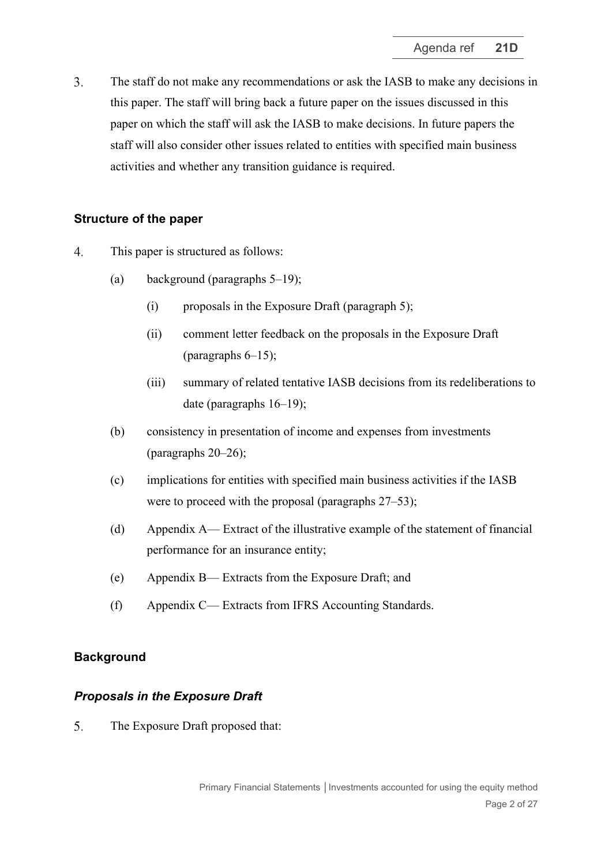$3<sub>1</sub>$ The staff do not make any recommendations or ask the IASB to make any decisions in this paper. The staff will bring back a future paper on the issues discussed in this paper on which the staff will ask the IASB to make decisions. In future papers the staff will also consider other issues related to entities with specified main business activities and whether any transition guidance is required.

## **Structure of the paper**

- $\overline{4}$ . This paper is structured as follows:
	- (a) background (paragraphs [5](#page-1-0)[–19\)](#page-5-0);
		- (i) proposals in the Exposure Draft (paragraph [5\)](#page-1-0);
		- (ii) comment letter feedback on the proposals in the Exposure Draft (paragraphs  $6-15$ );
		- (iii) summary of related tentative IASB decisions from its redeliberations to date (paragraphs [16–](#page-5-1)[19\)](#page-5-0);
	- (b) consistency in presentation of income and expenses from investments (paragraphs [20–](#page-6-0)[26\)](#page-8-0);
	- (c) implications for entities with specified main business activities if the IASB were to proceed with the proposal (paragraphs  $27-53$  $27-53$ );
	- (d) Appendix A— Extract of the illustrative example of the statement of financial performance for an insurance entity;
	- (e) Appendix B— Extracts from the Exposure Draft; and
	- (f) Appendix C— Extracts from IFRS Accounting Standards.

## **Background**

## *Proposals in the Exposure Draft*

<span id="page-1-0"></span>5. The Exposure Draft proposed that: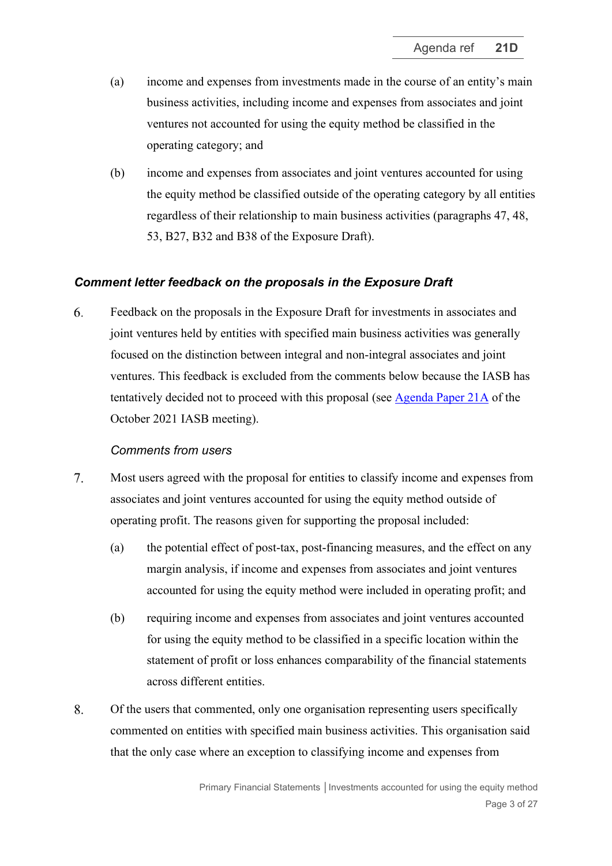- (a) income and expenses from investments made in the course of an entity's main business activities, including income and expenses from associates and joint ventures not accounted for using the equity method be classified in the operating category; and
- (b) income and expenses from associates and joint ventures accounted for using the equity method be classified outside of the operating category by all entities regardless of their relationship to main business activities (paragraphs 47, 48, 53, B27, B32 and B38 of the Exposure Draft).

## *Comment letter feedback on the proposals in the Exposure Draft*

<span id="page-2-0"></span>6. Feedback on the proposals in the Exposure Draft for investments in associates and joint ventures held by entities with specified main business activities was generally focused on the distinction between integral and non-integral associates and joint ventures. This feedback is excluded from the comments below because the IASB has tentatively decided not to proceed with this proposal (see [Agenda Paper 21A](https://www.ifrs.org/content/dam/ifrs/meetings/2021/october/iasb/ap21a-primary-financial-statements-associates-and-joint-ventures.pdf) of the October 2021 IASB meeting).

#### *Comments from users*

- <span id="page-2-2"></span>7. Most users agreed with the proposal for entities to classify income and expenses from associates and joint ventures accounted for using the equity method outside of operating profit. The reasons given for supporting the proposal included:
	- (a) the potential effect of post-tax, post-financing measures, and the effect on any margin analysis, if income and expenses from associates and joint ventures accounted for using the equity method were included in operating profit; and
	- (b) requiring income and expenses from associates and joint ventures accounted for using the equity method to be classified in a specific location within the statement of profit or loss enhances comparability of the financial statements across different entities.
- <span id="page-2-1"></span>8. Of the users that commented, only one organisation representing users specifically commented on entities with specified main business activities. This organisation said that the only case where an exception to classifying income and expenses from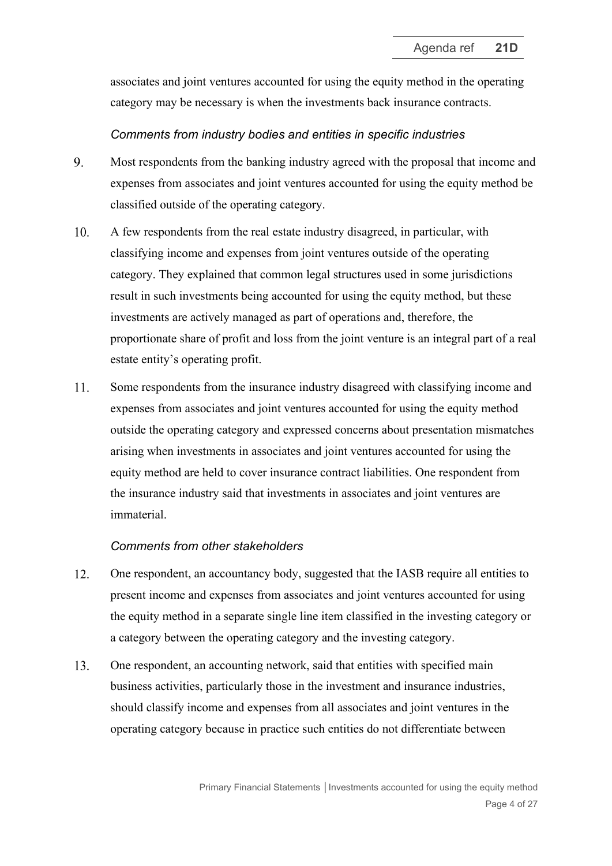associates and joint ventures accounted for using the equity method in the operating category may be necessary is when the investments back insurance contracts.

#### *Comments from industry bodies and entities in specific industries*

- <span id="page-3-0"></span>9. Most respondents from the banking industry agreed with the proposal that income and expenses from associates and joint ventures accounted for using the equity method be classified outside of the operating category.
- <span id="page-3-3"></span> $10<sub>l</sub>$ A few respondents from the real estate industry disagreed, in particular, with classifying income and expenses from joint ventures outside of the operating category. They explained that common legal structures used in some jurisdictions result in such investments being accounted for using the equity method, but these investments are actively managed as part of operations and, therefore, the proportionate share of profit and loss from the joint venture is an integral part of a real estate entity's operating profit.
- <span id="page-3-4"></span>11. Some respondents from the insurance industry disagreed with classifying income and expenses from associates and joint ventures accounted for using the equity method outside the operating category and expressed concerns about presentation mismatches arising when investments in associates and joint ventures accounted for using the equity method are held to cover insurance contract liabilities. One respondent from the insurance industry said that investments in associates and joint ventures are immaterial.

#### *Comments from other stakeholders*

- <span id="page-3-1"></span>12. One respondent, an accountancy body, suggested that the IASB require all entities to present income and expenses from associates and joint ventures accounted for using the equity method in a separate single line item classified in the investing category or a category between the operating category and the investing category.
- <span id="page-3-2"></span>13. One respondent, an accounting network, said that entities with specified main business activities, particularly those in the investment and insurance industries, should classify income and expenses from all associates and joint ventures in the operating category because in practice such entities do not differentiate between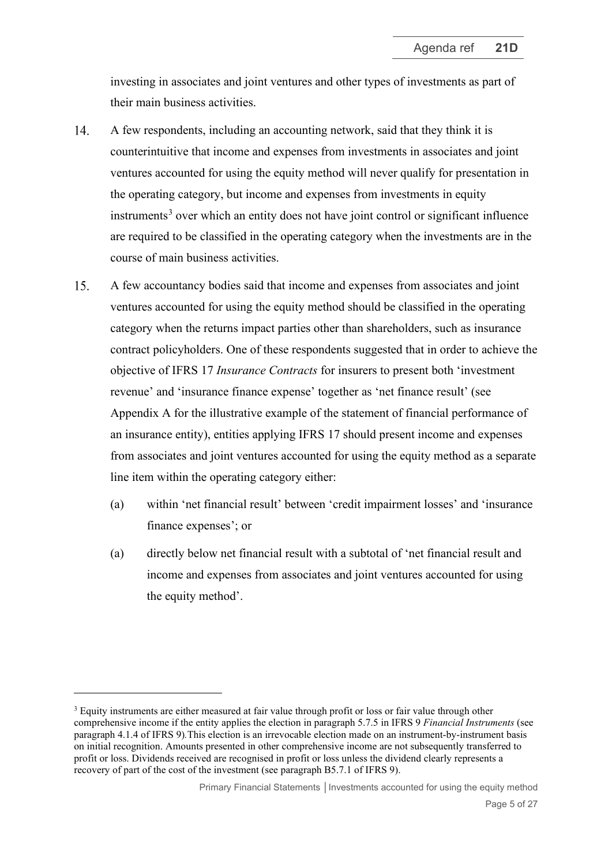investing in associates and joint ventures and other types of investments as part of their main business activities.

- <span id="page-4-2"></span>14. A few respondents, including an accounting network, said that they think it is counterintuitive that income and expenses from investments in associates and joint ventures accounted for using the equity method will never qualify for presentation in the operating category, but income and expenses from investments in equity  $in$ struments<sup>[3](#page-4-1)</sup> over which an entity does not have joint control or significant influence are required to be classified in the operating category when the investments are in the course of main business activities.
- <span id="page-4-0"></span>15. A few accountancy bodies said that income and expenses from associates and joint ventures accounted for using the equity method should be classified in the operating category when the returns impact parties other than shareholders, such as insurance contract policyholders. One of these respondents suggested that in order to achieve the objective of IFRS 17 *Insurance Contracts* for insurers to present both 'investment revenue' and 'insurance finance expense' together as 'net finance result' (see Appendix A for the illustrative example of the statement of financial performance of an insurance entity), entities applying IFRS 17 should present income and expenses from associates and joint ventures accounted for using the equity method as a separate line item within the operating category either:
	- (a) within 'net financial result' between 'credit impairment losses' and 'insurance finance expenses'; or
	- (a) directly below net financial result with a subtotal of 'net financial result and income and expenses from associates and joint ventures accounted for using the equity method'.

<span id="page-4-1"></span><sup>&</sup>lt;sup>3</sup> Equity instruments are either measured at fair value through profit or loss or fair value through other comprehensive income if the entity applies the election in paragraph 5.7.5 in IFRS 9 *Financial Instruments* (see paragraph 4.1.4 of IFRS 9)*.*This election is an irrevocable election made on an instrument-by-instrument basis on initial recognition. Amounts presented in other comprehensive income are not subsequently transferred to profit or loss. Dividends received are recognised in profit or loss unless the dividend clearly represents a recovery of part of the cost of the investment (see paragraph B5.7.1 of IFRS 9).

Primary Financial Statements │Investments accounted for using the equity method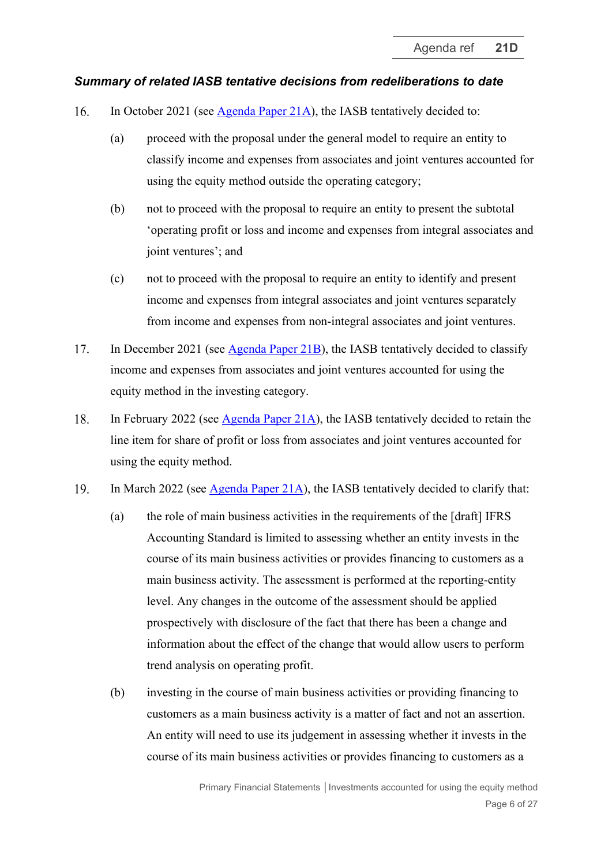### *Summary of related IASB tentative decisions from redeliberations to date*

- <span id="page-5-1"></span>In October 2021 (see [Agenda Paper 21A\)](https://www.ifrs.org/content/dam/ifrs/meetings/2021/october/iasb/ap21a-primary-financial-statements-associates-and-joint-ventures.pdf), the IASB tentatively decided to: 16.
	- (a) proceed with the proposal under the general model to require an entity to classify income and expenses from associates and joint ventures accounted for using the equity method outside the operating category;
	- (b) not to proceed with the proposal to require an entity to present the subtotal 'operating profit or loss and income and expenses from integral associates and joint ventures'; and
	- (c) not to proceed with the proposal to require an entity to identify and present income and expenses from integral associates and joint ventures separately from income and expenses from non-integral associates and joint ventures.
- 17. In December 2021 (see [Agenda Paper 21B\)](https://www.ifrs.org/content/dam/ifrs/meetings/2021/december/iasb/ap21b-pfs-income-and-expenses-classified-in-the-investing-category.pdf), the IASB tentatively decided to classify income and expenses from associates and joint ventures accounted for using the equity method in the investing category.
- 18. In February 2022 (see [Agenda Paper 21A\)](https://www.ifrs.org/content/dam/ifrs/meetings/2022/february/iasb/ap21a-principles-for-presentation-and-required-line-items-in-primary-financial-statements.pdf), the IASB tentatively decided to retain the line item for share of profit or loss from associates and joint ventures accounted for using the equity method.
- <span id="page-5-0"></span>19. In March 2022 (see [Agenda Paper 21A\)](https://www.ifrs.org/content/dam/ifrs/meetings/2022/march/iasb/ap21a-entities-with-specified-main-business-activities-general.pdf), the IASB tentatively decided to clarify that:
	- (a) the role of main business activities in the requirements of the [draft] IFRS Accounting Standard is limited to assessing whether an entity invests in the course of its main business activities or provides financing to customers as a main business activity. The assessment is performed at the reporting-entity level. Any changes in the outcome of the assessment should be applied prospectively with disclosure of the fact that there has been a change and information about the effect of the change that would allow users to perform trend analysis on operating profit.
	- (b) investing in the course of main business activities or providing financing to customers as a main business activity is a matter of fact and not an assertion. An entity will need to use its judgement in assessing whether it invests in the course of its main business activities or provides financing to customers as a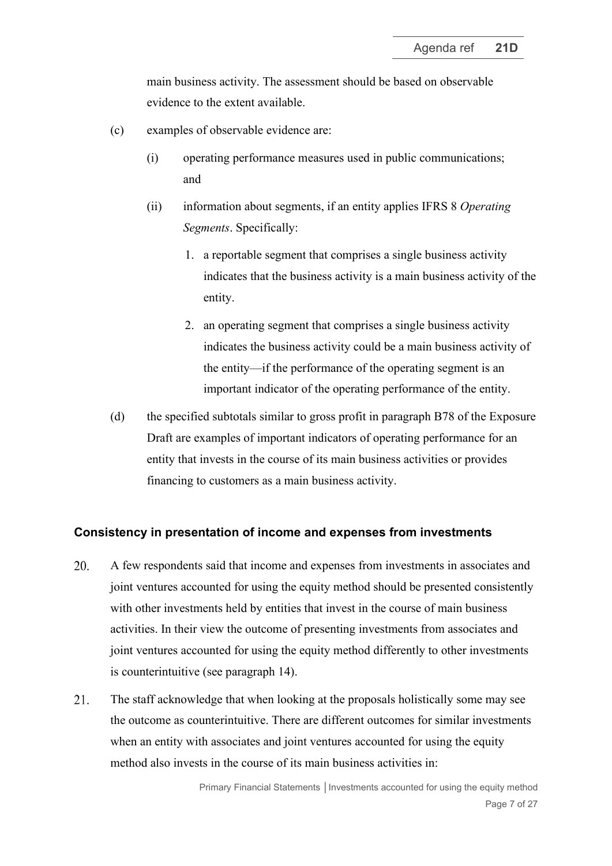main business activity. The assessment should be based on observable evidence to the extent available.

- (c) examples of observable evidence are:
	- (i) operating performance measures used in public communications; and
	- (ii) information about segments, if an entity applies IFRS 8 *Operating Segments*. Specifically:
		- 1. a reportable segment that comprises a single business activity indicates that the business activity is a main business activity of the entity.
		- 2. an operating segment that comprises a single business activity indicates the business activity could be a main business activity of the entity—if the performance of the operating segment is an important indicator of the operating performance of the entity.
- <span id="page-6-1"></span>(d) the specified subtotals similar to gross profit in paragraph B78 of the Exposure Draft are examples of important indicators of operating performance for an entity that invests in the course of its main business activities or provides financing to customers as a main business activity.

## **Consistency in presentation of income and expenses from investments**

- <span id="page-6-0"></span>20. A few respondents said that income and expenses from investments in associates and joint ventures accounted for using the equity method should be presented consistently with other investments held by entities that invest in the course of main business activities. In their view the outcome of presenting investments from associates and joint ventures accounted for using the equity method differently to other investments is counterintuitive (see paragraph [14\)](#page-4-2).
- 21. The staff acknowledge that when looking at the proposals holistically some may see the outcome as counterintuitive. There are different outcomes for similar investments when an entity with associates and joint ventures accounted for using the equity method also invests in the course of its main business activities in: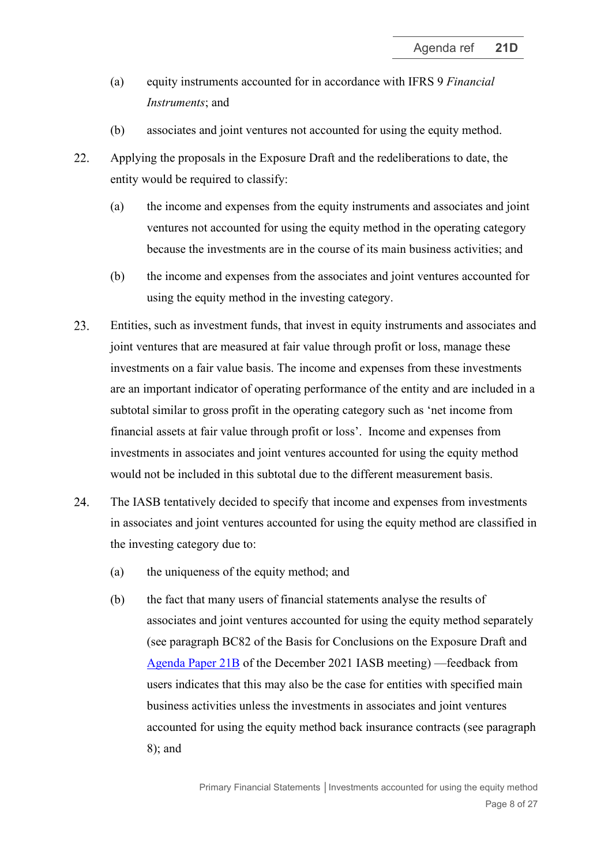- (a) equity instruments accounted for in accordance with IFRS 9 *Financial Instruments*; and
- (b) associates and joint ventures not accounted for using the equity method.

22. Applying the proposals in the Exposure Draft and the redeliberations to date, the entity would be required to classify:

- (a) the income and expenses from the equity instruments and associates and joint ventures not accounted for using the equity method in the operating category because the investments are in the course of its main business activities; and
- (b) the income and expenses from the associates and joint ventures accounted for using the equity method in the investing category.
- 23. Entities, such as investment funds, that invest in equity instruments and associates and joint ventures that are measured at fair value through profit or loss, manage these investments on a fair value basis. The income and expenses from these investments are an important indicator of operating performance of the entity and are included in a subtotal similar to gross profit in the operating category such as 'net income from financial assets at fair value through profit or loss'. Income and expenses from investments in associates and joint ventures accounted for using the equity method would not be included in this subtotal due to the different measurement basis.
- 24. The IASB tentatively decided to specify that income and expenses from investments in associates and joint ventures accounted for using the equity method are classified in the investing category due to:
	- (a) the uniqueness of the equity method; and
	- (b) the fact that many users of financial statements analyse the results of associates and joint ventures accounted for using the equity method separately (see paragraph BC82 of the Basis for Conclusions on the Exposure Draft and [Agenda Paper 21B](https://www.ifrs.org/content/dam/ifrs/meetings/2021/december/iasb/ap21b-pfs-income-and-expenses-classified-in-the-investing-category.pdf) of the December 2021 IASB meeting) —feedback from users indicates that this may also be the case for entities with specified main business activities unless the investments in associates and joint ventures accounted for using the equity method back insurance contracts (see paragraph [8\)](#page-2-1); and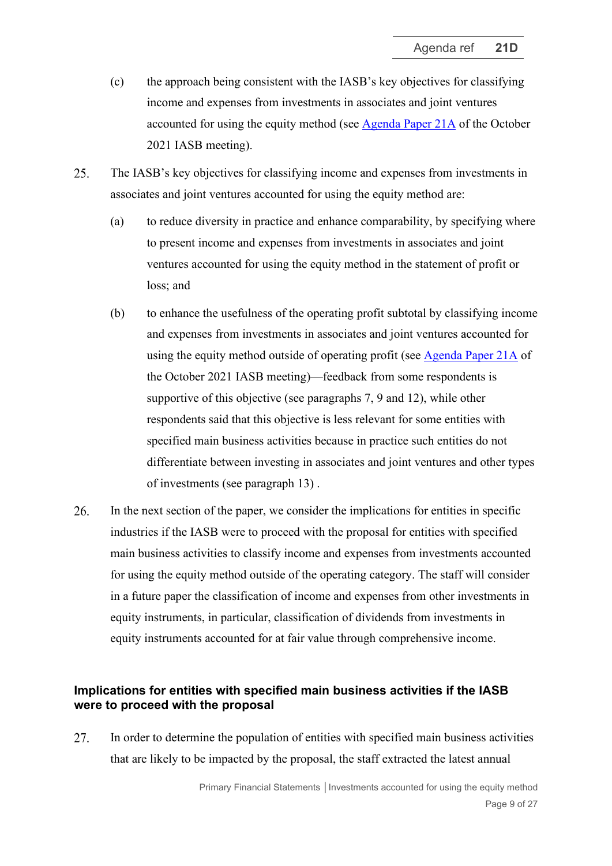- (c) the approach being consistent with the IASB's key objectives for classifying income and expenses from investments in associates and joint ventures accounted for using the equity method (see [Agenda Paper 21A](https://www.ifrs.org/content/dam/ifrs/meetings/2021/october/iasb/ap21a-primary-financial-statements-associates-and-joint-ventures.pdf) of the October 2021 IASB meeting).
- <span id="page-8-2"></span>25. The IASB's key objectives for classifying income and expenses from investments in associates and joint ventures accounted for using the equity method are:
	- (a) to reduce diversity in practice and enhance comparability, by specifying where to present income and expenses from investments in associates and joint ventures accounted for using the equity method in the statement of profit or loss; and
	- (b) to enhance the usefulness of the operating profit subtotal by classifying income and expenses from investments in associates and joint ventures accounted for using the equity method outside of operating profit (see [Agenda Paper 21A](https://www.ifrs.org/content/dam/ifrs/meetings/2021/october/iasb/ap21a-primary-financial-statements-associates-and-joint-ventures.pdf) of the October 2021 IASB meeting)—feedback from some respondents is supportive of this objective (see paragraphs [7,](#page-2-2) [9](#page-3-0) and [12\)](#page-3-1), while other respondents said that this objective is less relevant for some entities with specified main business activities because in practice such entities do not differentiate between investing in associates and joint ventures and other types of investments (see paragraph [13\)](#page-3-2) .
- <span id="page-8-0"></span>26. In the next section of the paper, we consider the implications for entities in specific industries if the IASB were to proceed with the proposal for entities with specified main business activities to classify income and expenses from investments accounted for using the equity method outside of the operating category. The staff will consider in a future paper the classification of income and expenses from other investments in equity instruments, in particular, classification of dividends from investments in equity instruments accounted for at fair value through comprehensive income.

## **Implications for entities with specified main business activities if the IASB were to proceed with the proposal**

<span id="page-8-1"></span>27. In order to determine the population of entities with specified main business activities that are likely to be impacted by the proposal, the staff extracted the latest annual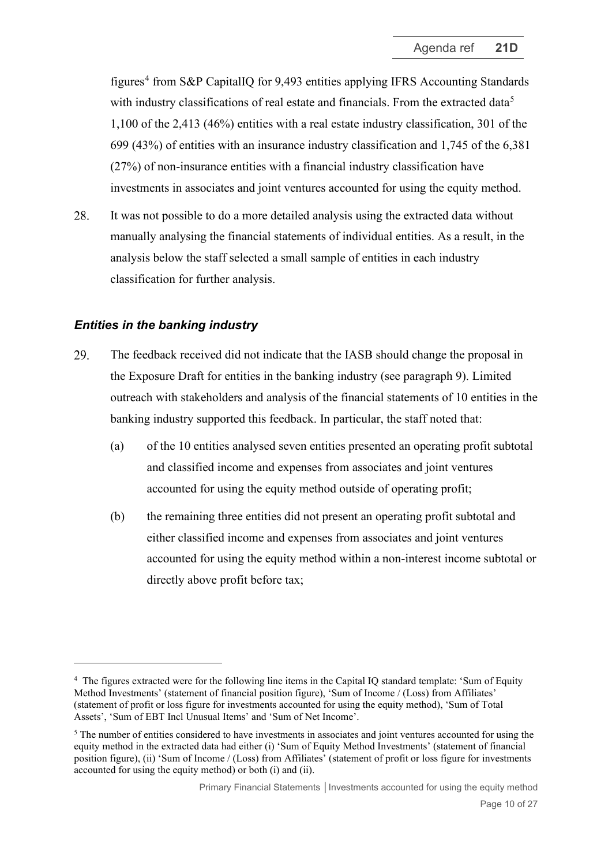figures<sup>[4](#page-9-0)</sup> from S&P CapitalIO for 9,493 entities applying IFRS Accounting Standards with industry classifications of real estate and financials. From the extracted data<sup>[5](#page-9-1)</sup> 1,100 of the 2,413 (46%) entities with a real estate industry classification, 301 of the 699 (43%) of entities with an insurance industry classification and 1,745 of the 6,381 (27%) of non-insurance entities with a financial industry classification have investments in associates and joint ventures accounted for using the equity method.

28. It was not possible to do a more detailed analysis using the extracted data without manually analysing the financial statements of individual entities. As a result, in the analysis below the staff selected a small sample of entities in each industry classification for further analysis.

## *Entities in the banking industry*

- 29. The feedback received did not indicate that the IASB should change the proposal in the Exposure Draft for entities in the banking industry (see paragraph [9\)](#page-3-0). Limited outreach with stakeholders and analysis of the financial statements of 10 entities in the banking industry supported this feedback. In particular, the staff noted that:
	- (a) of the 10 entities analysed seven entities presented an operating profit subtotal and classified income and expenses from associates and joint ventures accounted for using the equity method outside of operating profit;
	- (b) the remaining three entities did not present an operating profit subtotal and either classified income and expenses from associates and joint ventures accounted for using the equity method within a non-interest income subtotal or directly above profit before tax;

<span id="page-9-0"></span><sup>&</sup>lt;sup>4</sup> The figures extracted were for the following line items in the Capital IQ standard template: 'Sum of Equity Method Investments' (statement of financial position figure), 'Sum of Income / (Loss) from Affiliates' (statement of profit or loss figure for investments accounted for using the equity method), 'Sum of Total Assets', 'Sum of EBT Incl Unusual Items' and 'Sum of Net Income'.

<span id="page-9-1"></span><sup>&</sup>lt;sup>5</sup> The number of entities considered to have investments in associates and joint ventures accounted for using the equity method in the extracted data had either (i) 'Sum of Equity Method Investments' (statement of financial position figure), (ii) 'Sum of Income / (Loss) from Affiliates' (statement of profit or loss figure for investments accounted for using the equity method) or both (i) and (ii).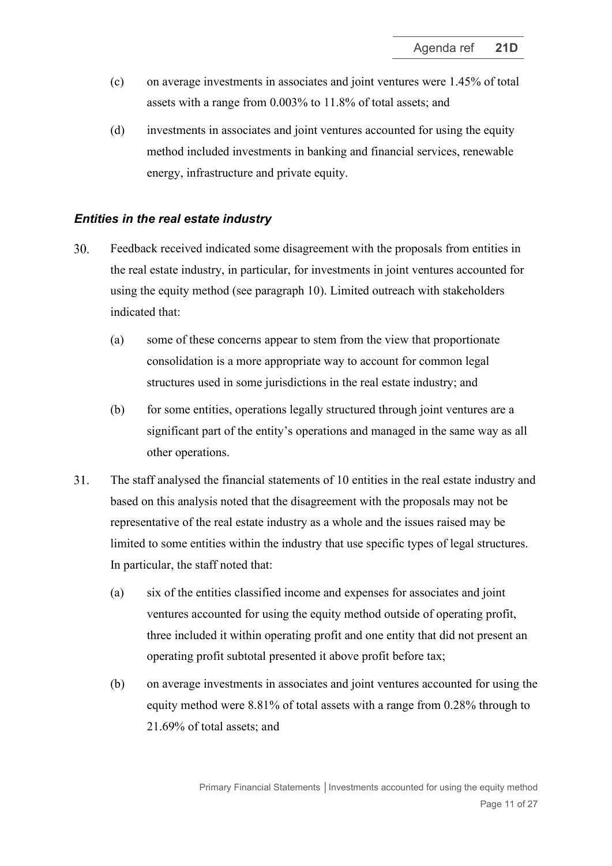- (c) on average investments in associates and joint ventures were 1.45% of total assets with a range from 0.003% to 11.8% of total assets; and
- (d) investments in associates and joint ventures accounted for using the equity method included investments in banking and financial services, renewable energy, infrastructure and private equity.

#### *Entities in the real estate industry*

- $30<sub>1</sub>$ Feedback received indicated some disagreement with the proposals from entities in the real estate industry, in particular, for investments in joint ventures accounted for using the equity method (see paragraph [10\)](#page-3-3). Limited outreach with stakeholders indicated that:
	- (a) some of these concerns appear to stem from the view that proportionate consolidation is a more appropriate way to account for common legal structures used in some jurisdictions in the real estate industry; and
	- (b) for some entities, operations legally structured through joint ventures are a significant part of the entity's operations and managed in the same way as all other operations.
- 31. The staff analysed the financial statements of 10 entities in the real estate industry and based on this analysis noted that the disagreement with the proposals may not be representative of the real estate industry as a whole and the issues raised may be limited to some entities within the industry that use specific types of legal structures. In particular, the staff noted that:
	- (a) six of the entities classified income and expenses for associates and joint ventures accounted for using the equity method outside of operating profit, three included it within operating profit and one entity that did not present an operating profit subtotal presented it above profit before tax;
	- (b) on average investments in associates and joint ventures accounted for using the equity method were 8.81% of total assets with a range from 0.28% through to 21.69% of total assets; and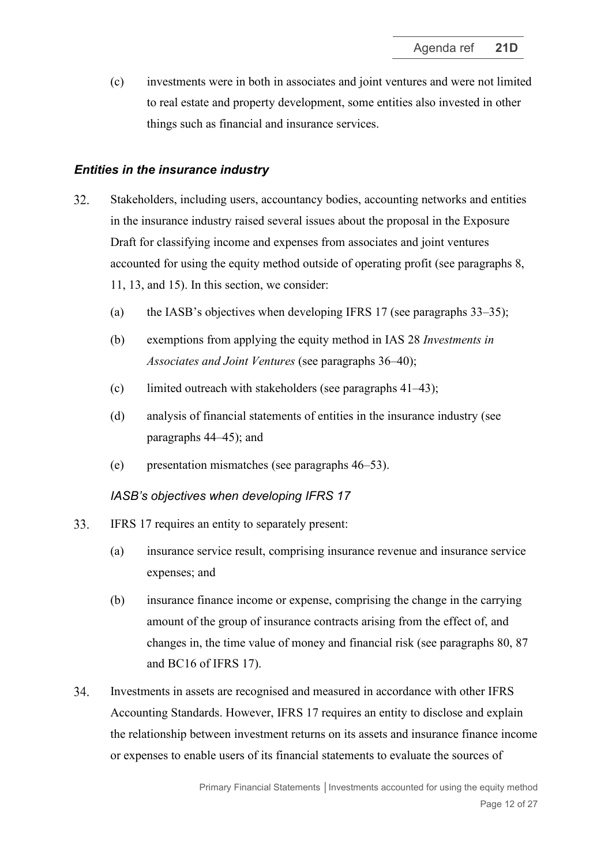(c) investments were in both in associates and joint ventures and were not limited to real estate and property development, some entities also invested in other things such as financial and insurance services.

## *Entities in the insurance industry*

- 32. Stakeholders, including users, accountancy bodies, accounting networks and entities in the insurance industry raised several issues about the proposal in the Exposure Draft for classifying income and expenses from associates and joint ventures accounted for using the equity method outside of operating profit (see paragraphs [8,](#page-2-1) [11,](#page-3-4) [13,](#page-3-2) and [15\)](#page-4-0). In this section, we consider:
	- (a) the IASB's objectives when developing IFRS 17 (see paragraphs [33–](#page-11-0)[35\)](#page-12-0);
	- (b) exemptions from applying the equity method in IAS 28 *Investments in Associates and Joint Ventures* (see paragraphs [36](#page-12-1)[–40\)](#page-13-0);
	- (c) limited outreach with stakeholders (see paragraphs [41](#page-13-1)[–43\)](#page-15-0);
	- (d) analysis of financial statements of entities in the insurance industry (see paragraphs [44–](#page-15-1)[45\)](#page-15-2); and
	- (e) presentation mismatches (see paragraphs [46](#page-17-0)[–53\)](#page-19-0).

## *IASB's objectives when developing IFRS 17*

- <span id="page-11-0"></span>33. IFRS 17 requires an entity to separately present:
	- (a) insurance service result, comprising insurance revenue and insurance service expenses; and
	- (b) insurance finance income or expense, comprising the change in the carrying amount of the group of insurance contracts arising from the effect of, and changes in, the time value of money and financial risk (see paragraphs 80, 87 and BC16 of IFRS 17).
- 34. Investments in assets are recognised and measured in accordance with other IFRS Accounting Standards. However, IFRS 17 requires an entity to disclose and explain the relationship between investment returns on its assets and insurance finance income or expenses to enable users of its financial statements to evaluate the sources of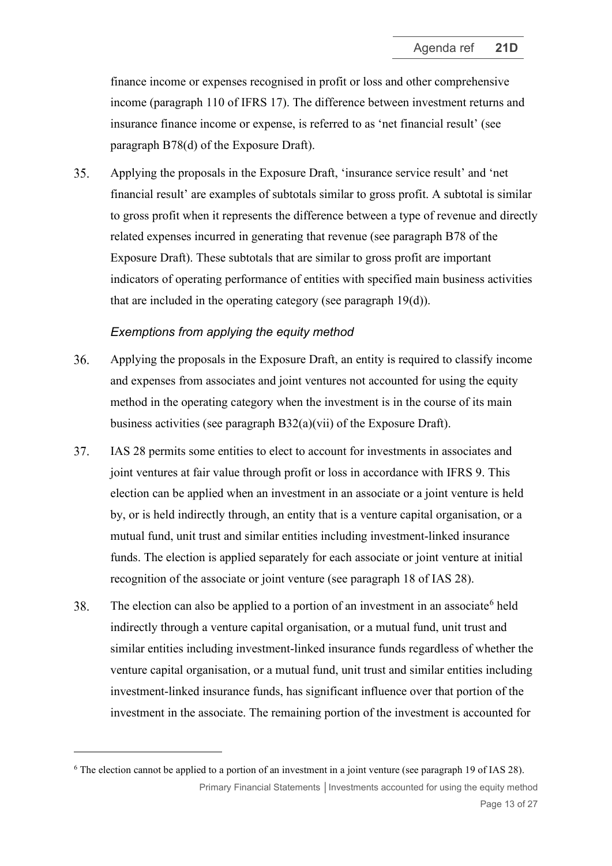finance income or expenses recognised in profit or loss and other comprehensive income (paragraph 110 of IFRS 17). The difference between investment returns and insurance finance income or expense, is referred to as 'net financial result' (see paragraph B78(d) of the Exposure Draft).

<span id="page-12-0"></span>35. Applying the proposals in the Exposure Draft, 'insurance service result' and 'net financial result' are examples of subtotals similar to gross profit. A subtotal is similar to gross profit when it represents the difference between a type of revenue and directly related expenses incurred in generating that revenue (see paragraph B78 of the Exposure Draft). These subtotals that are similar to gross profit are important indicators of operating performance of entities with specified main business activities that are included in the operating category (see paragraph [19\(d\)\)](#page-6-1).

#### *Exemptions from applying the equity method*

- <span id="page-12-1"></span>Applying the proposals in the Exposure Draft, an entity is required to classify income 36. and expenses from associates and joint ventures not accounted for using the equity method in the operating category when the investment is in the course of its main business activities (see paragraph B32(a)(vii) of the Exposure Draft).
- 37. IAS 28 permits some entities to elect to account for investments in associates and joint ventures at fair value through profit or loss in accordance with IFRS 9. This election can be applied when an investment in an associate or a joint venture is held by, or is held indirectly through, an entity that is a venture capital organisation, or a mutual fund, unit trust and similar entities including investment-linked insurance funds. The election is applied separately for each associate or joint venture at initial recognition of the associate or joint venture (see paragraph 18 of IAS 28).
- <span id="page-12-3"></span>38. The election can also be applied to a portion of an investment in an associate<sup>[6](#page-12-2)</sup> held indirectly through a venture capital organisation, or a mutual fund, unit trust and similar entities including investment-linked insurance funds regardless of whether the venture capital organisation, or a mutual fund, unit trust and similar entities including investment-linked insurance funds, has significant influence over that portion of the investment in the associate. The remaining portion of the investment is accounted for

<span id="page-12-2"></span>Primary Financial Statements | Investments accounted for using the equity method Page 13 of 27 <sup>6</sup> The election cannot be applied to a portion of an investment in a joint venture (see paragraph 19 of IAS 28).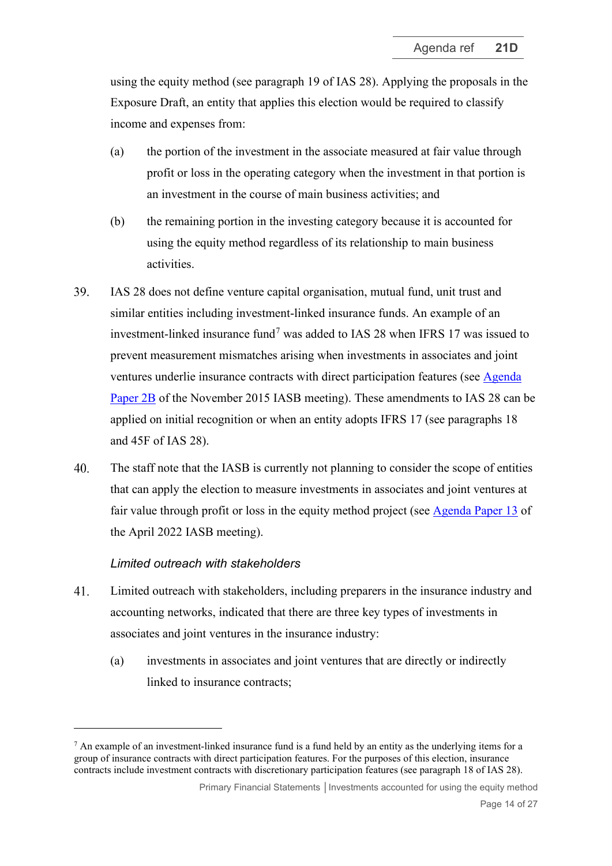using the equity method (see paragraph 19 of IAS 28). Applying the proposals in the Exposure Draft, an entity that applies this election would be required to classify income and expenses from:

- (a) the portion of the investment in the associate measured at fair value through profit or loss in the operating category when the investment in that portion is an investment in the course of main business activities; and
- (b) the remaining portion in the investing category because it is accounted for using the equity method regardless of its relationship to main business activities.
- <span id="page-13-3"></span>39. IAS 28 does not define venture capital organisation, mutual fund, unit trust and similar entities including investment-linked insurance funds. An example of an investment-linked insurance fund[7](#page-13-2) was added to IAS 28 when IFRS 17 was issued to prevent measurement mismatches arising when investments in associates and joint ventures underlie insurance contracts with direct participation features (see [Agenda](https://www.ifrs.org/content/dam/ifrs/meetings/2015/november/iasb/insurnace-contracts/ap2b-consequential-issues-arising-variable-fee-appraoch.pdf)  [Paper 2B](https://www.ifrs.org/content/dam/ifrs/meetings/2015/november/iasb/insurnace-contracts/ap2b-consequential-issues-arising-variable-fee-appraoch.pdf) of the November 2015 IASB meeting). These amendments to IAS 28 can be applied on initial recognition or when an entity adopts IFRS 17 (see paragraphs 18 and 45F of IAS 28).
- <span id="page-13-0"></span> $40.$ The staff note that the IASB is currently not planning to consider the scope of entities that can apply the election to measure investments in associates and joint ventures at fair value through profit or loss in the equity method project (see [Agenda Paper 13](https://www.ifrs.org/content/dam/ifrs/meetings/2022/april/iasb/ap13-equity-method-cover-paper.pdf) of the April 2022 IASB meeting).

## *Limited outreach with stakeholders*

- <span id="page-13-1"></span>41. Limited outreach with stakeholders, including preparers in the insurance industry and accounting networks, indicated that there are three key types of investments in associates and joint ventures in the insurance industry:
	- (a) investments in associates and joint ventures that are directly or indirectly linked to insurance contracts;

<span id="page-13-2"></span> $<sup>7</sup>$  An example of an investment-linked insurance fund is a fund held by an entity as the underlying items for a</sup> group of insurance contracts with direct participation features. For the purposes of this election, insurance contracts include investment contracts with discretionary participation features (see paragraph 18 of IAS 28).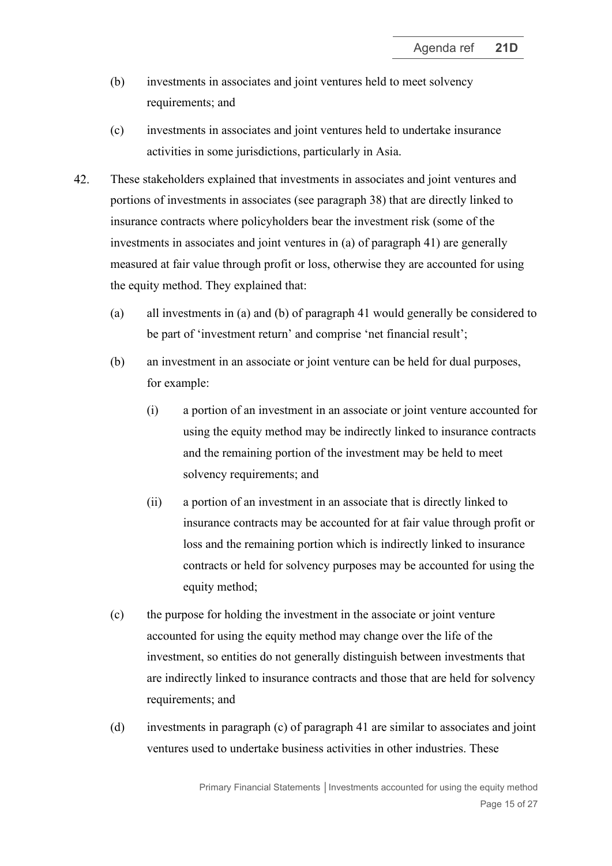- (b) investments in associates and joint ventures held to meet solvency requirements; and
- (c) investments in associates and joint ventures held to undertake insurance activities in some jurisdictions, particularly in Asia.
- <span id="page-14-0"></span>42. These stakeholders explained that investments in associates and joint ventures and portions of investments in associates (see paragraph [38\)](#page-12-3) that are directly linked to insurance contracts where policyholders bear the investment risk (some of the investments in associates and joint ventures in (a) of paragraph [41\)](#page-13-1) are generally measured at fair value through profit or loss, otherwise they are accounted for using the equity method. They explained that:
	- (a) all investments in (a) and (b) of paragraph [41](#page-13-1) would generally be considered to be part of 'investment return' and comprise 'net financial result';
	- (b) an investment in an associate or joint venture can be held for dual purposes, for example:
		- (i) a portion of an investment in an associate or joint venture accounted for using the equity method may be indirectly linked to insurance contracts and the remaining portion of the investment may be held to meet solvency requirements; and
		- (ii) a portion of an investment in an associate that is directly linked to insurance contracts may be accounted for at fair value through profit or loss and the remaining portion which is indirectly linked to insurance contracts or held for solvency purposes may be accounted for using the equity method;
	- (c) the purpose for holding the investment in the associate or joint venture accounted for using the equity method may change over the life of the investment, so entities do not generally distinguish between investments that are indirectly linked to insurance contracts and those that are held for solvency requirements; and
	- (d) investments in paragraph (c) of paragraph [41](#page-13-1) are similar to associates and joint ventures used to undertake business activities in other industries. These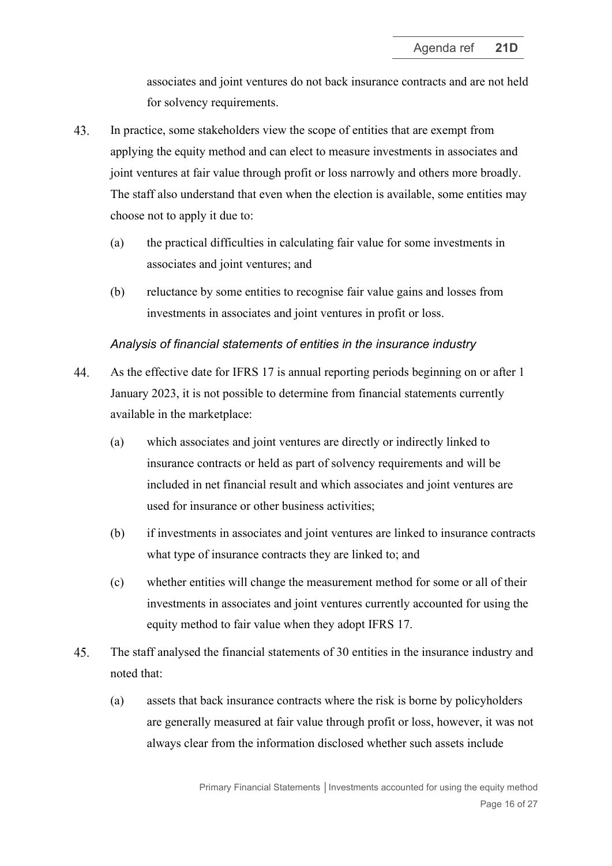associates and joint ventures do not back insurance contracts and are not held for solvency requirements.

- <span id="page-15-0"></span>43. In practice, some stakeholders view the scope of entities that are exempt from applying the equity method and can elect to measure investments in associates and joint ventures at fair value through profit or loss narrowly and others more broadly. The staff also understand that even when the election is available, some entities may choose not to apply it due to:
	- (a) the practical difficulties in calculating fair value for some investments in associates and joint ventures; and
	- (b) reluctance by some entities to recognise fair value gains and losses from investments in associates and joint ventures in profit or loss.

#### *Analysis of financial statements of entities in the insurance industry*

- <span id="page-15-1"></span>44. As the effective date for IFRS 17 is annual reporting periods beginning on or after 1 January 2023, it is not possible to determine from financial statements currently available in the marketplace:
	- (a) which associates and joint ventures are directly or indirectly linked to insurance contracts or held as part of solvency requirements and will be included in net financial result and which associates and joint ventures are used for insurance or other business activities;
	- (b) if investments in associates and joint ventures are linked to insurance contracts what type of insurance contracts they are linked to; and
	- (c) whether entities will change the measurement method for some or all of their investments in associates and joint ventures currently accounted for using the equity method to fair value when they adopt IFRS 17.
- <span id="page-15-2"></span>45. The staff analysed the financial statements of 30 entities in the insurance industry and noted that:
	- (a) assets that back insurance contracts where the risk is borne by policyholders are generally measured at fair value through profit or loss, however, it was not always clear from the information disclosed whether such assets include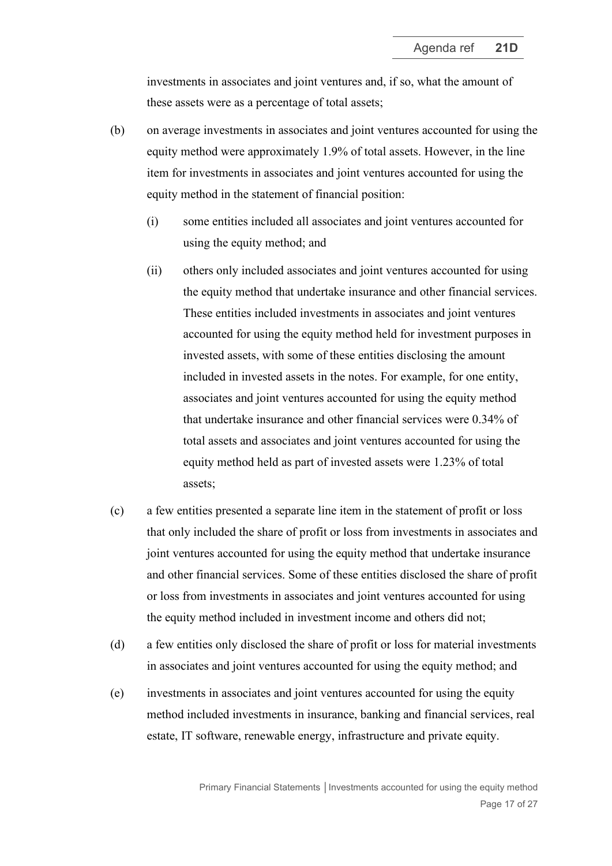investments in associates and joint ventures and, if so, what the amount of these assets were as a percentage of total assets;

- (b) on average investments in associates and joint ventures accounted for using the equity method were approximately 1.9% of total assets. However, in the line item for investments in associates and joint ventures accounted for using the equity method in the statement of financial position:
	- (i) some entities included all associates and joint ventures accounted for using the equity method; and
	- (ii) others only included associates and joint ventures accounted for using the equity method that undertake insurance and other financial services. These entities included investments in associates and joint ventures accounted for using the equity method held for investment purposes in invested assets, with some of these entities disclosing the amount included in invested assets in the notes. For example, for one entity, associates and joint ventures accounted for using the equity method that undertake insurance and other financial services were 0.34% of total assets and associates and joint ventures accounted for using the equity method held as part of invested assets were 1.23% of total assets;
- (c) a few entities presented a separate line item in the statement of profit or loss that only included the share of profit or loss from investments in associates and joint ventures accounted for using the equity method that undertake insurance and other financial services. Some of these entities disclosed the share of profit or loss from investments in associates and joint ventures accounted for using the equity method included in investment income and others did not;
- (d) a few entities only disclosed the share of profit or loss for material investments in associates and joint ventures accounted for using the equity method; and
- (e) investments in associates and joint ventures accounted for using the equity method included investments in insurance, banking and financial services, real estate, IT software, renewable energy, infrastructure and private equity.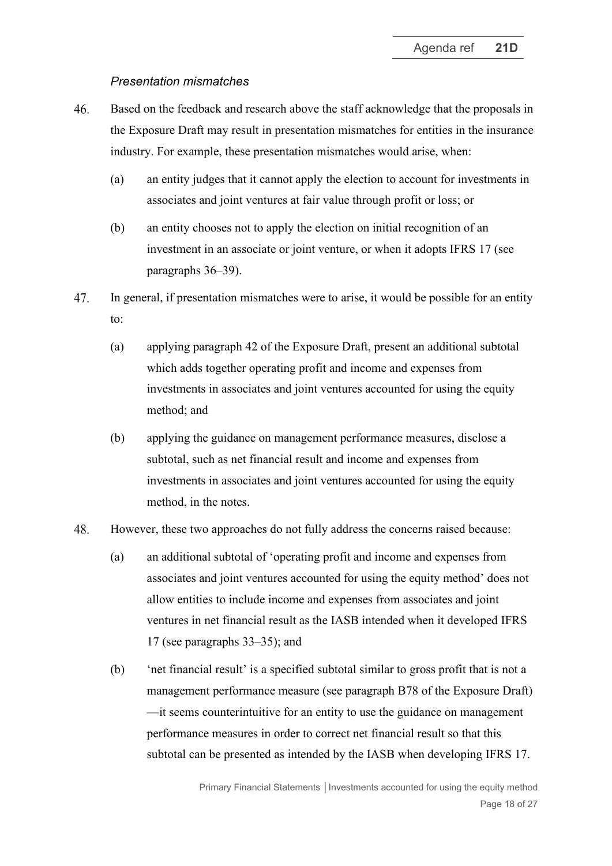### *Presentation mismatches*

- <span id="page-17-0"></span>46. Based on the feedback and research above the staff acknowledge that the proposals in the Exposure Draft may result in presentation mismatches for entities in the insurance industry. For example, these presentation mismatches would arise, when:
	- (a) an entity judges that it cannot apply the election to account for investments in associates and joint ventures at fair value through profit or loss; or
	- (b) an entity chooses not to apply the election on initial recognition of an investment in an associate or joint venture, or when it adopts IFRS 17 (see paragraphs [36–](#page-12-1)[39\)](#page-13-3).
- 47. In general, if presentation mismatches were to arise, it would be possible for an entity to:
	- (a) applying paragraph 42 of the Exposure Draft, present an additional subtotal which adds together operating profit and income and expenses from investments in associates and joint ventures accounted for using the equity method; and
	- (b) applying the guidance on management performance measures, disclose a subtotal, such as net financial result and income and expenses from investments in associates and joint ventures accounted for using the equity method, in the notes.

#### 48. However, these two approaches do not fully address the concerns raised because:

- (a) an additional subtotal of 'operating profit and income and expenses from associates and joint ventures accounted for using the equity method' does not allow entities to include income and expenses from associates and joint ventures in net financial result as the IASB intended when it developed IFRS 17 (see paragraphs [33–](#page-11-0)[35\)](#page-12-0); and
- (b) 'net financial result' is a specified subtotal similar to gross profit that is not a management performance measure (see paragraph B78 of the Exposure Draft) —it seems counterintuitive for an entity to use the guidance on management performance measures in order to correct net financial result so that this subtotal can be presented as intended by the IASB when developing IFRS 17.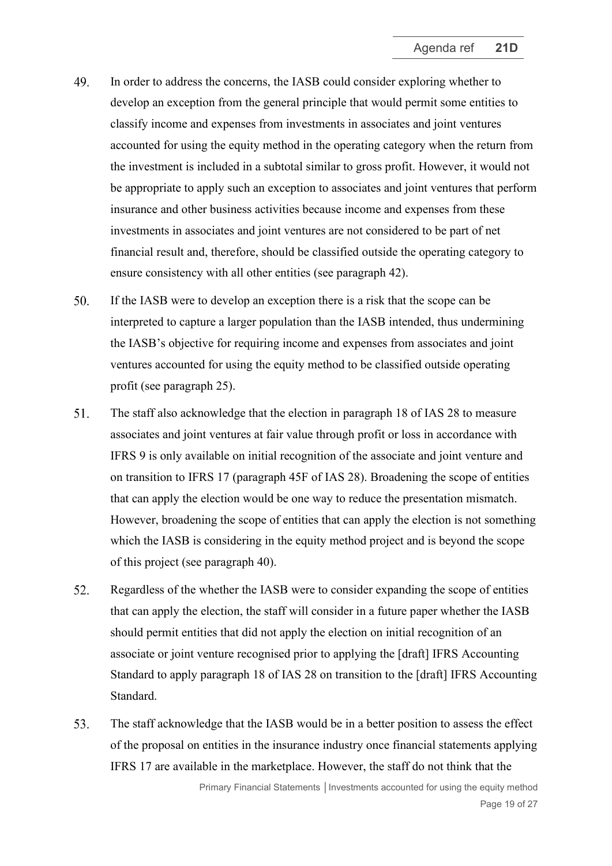- 49. In order to address the concerns, the IASB could consider exploring whether to develop an exception from the general principle that would permit some entities to classify income and expenses from investments in associates and joint ventures accounted for using the equity method in the operating category when the return from the investment is included in a subtotal similar to gross profit. However, it would not be appropriate to apply such an exception to associates and joint ventures that perform insurance and other business activities because income and expenses from these investments in associates and joint ventures are not considered to be part of net financial result and, therefore, should be classified outside the operating category to ensure consistency with all other entities (see paragraph [42\)](#page-14-0).
- $50<sub>1</sub>$ If the IASB were to develop an exception there is a risk that the scope can be interpreted to capture a larger population than the IASB intended, thus undermining the IASB's objective for requiring income and expenses from associates and joint ventures accounted for using the equity method to be classified outside operating profit (see paragraph [25\)](#page-8-2).
- $51.$ The staff also acknowledge that the election in paragraph 18 of IAS 28 to measure associates and joint ventures at fair value through profit or loss in accordance with IFRS 9 is only available on initial recognition of the associate and joint venture and on transition to IFRS 17 (paragraph 45F of IAS 28). Broadening the scope of entities that can apply the election would be one way to reduce the presentation mismatch. However, broadening the scope of entities that can apply the election is not something which the IASB is considering in the equity method project and is beyond the scope of this project (see paragraph [40\)](#page-13-0).
- 52. Regardless of the whether the IASB were to consider expanding the scope of entities that can apply the election, the staff will consider in a future paper whether the IASB should permit entities that did not apply the election on initial recognition of an associate or joint venture recognised prior to applying the [draft] IFRS Accounting Standard to apply paragraph 18 of IAS 28 on transition to the [draft] IFRS Accounting Standard.
- <span id="page-18-0"></span>53. The staff acknowledge that the IASB would be in a better position to assess the effect of the proposal on entities in the insurance industry once financial statements applying IFRS 17 are available in the marketplace. However, the staff do not think that the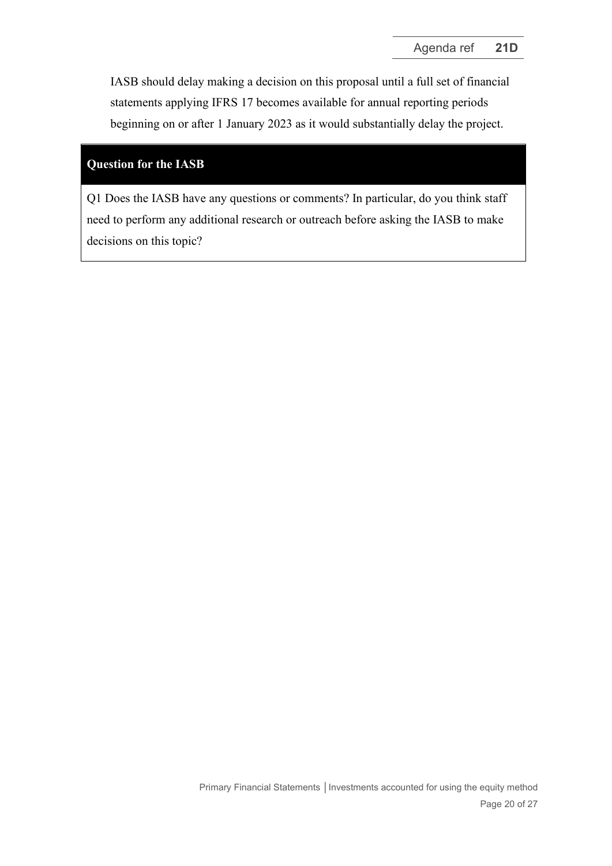<span id="page-19-0"></span>IASB should delay making a decision on this proposal until a full set of financial statements applying IFRS 17 becomes available for annual reporting periods beginning on or after 1 January 2023 as it would substantially delay the project.

## **Question for the IASB**

Q1 Does the IASB have any questions or comments? In particular, do you think staff need to perform any additional research or outreach before asking the IASB to make decisions on this topic?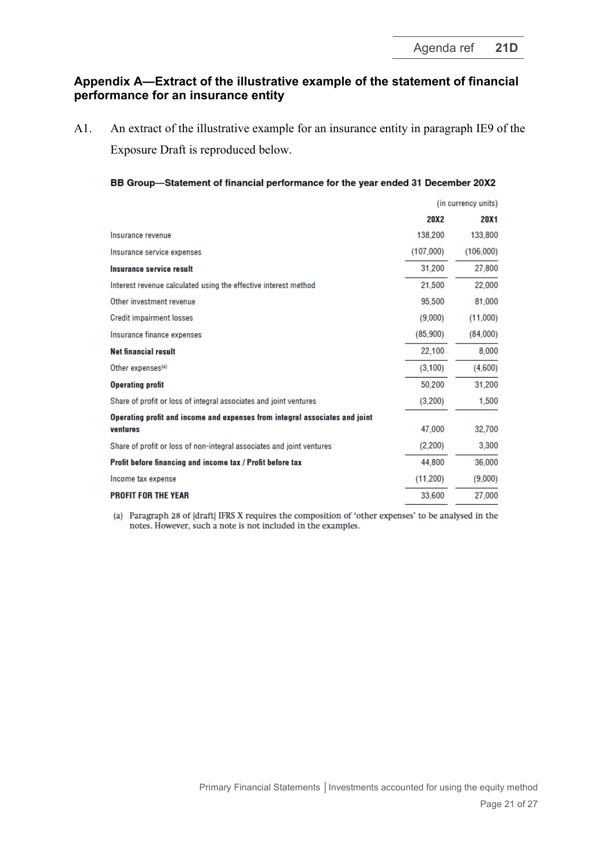## **Appendix A—Extract of the illustrative example of the statement of financial performance for an insurance entity**

A1. An extract of the illustrative example for an insurance entity in paragraph IE9 of the Exposure Draft is reproduced below.

| BB Group-Statement of financial performance for the year ended 31 December 20X2 |  |  |  |
|---------------------------------------------------------------------------------|--|--|--|
|---------------------------------------------------------------------------------|--|--|--|

|                                                                             | (in currency units) |           |
|-----------------------------------------------------------------------------|---------------------|-----------|
|                                                                             | <b>20X2</b>         | 20X1      |
| Insurance revenue                                                           | 138,200             | 133,800   |
| Insurance service expenses                                                  | (107,000)           | (106,000) |
| Insurance service result                                                    | 31,200              | 27,800    |
| Interest revenue calculated using the effective interest method             | 21,500              | 22,000    |
| Other investment revenue                                                    | 95,500              | 81,000    |
| <b>Credit impairment losses</b>                                             | (9,000)             | (11,000)  |
| Insurance finance expenses                                                  | (85,900)            | (84,000)  |
| <b>Net financial result</b>                                                 | 22,100              | 8,000     |
| Other expenses <sup>(a)</sup>                                               | (3, 100)            | (4,600)   |
| <b>Operating profit</b>                                                     | 50,200              | 31,200    |
| Share of profit or loss of integral associates and joint ventures           | (3,200)             | 1,500     |
| Operating profit and income and expenses from integral associates and joint |                     |           |
| ventures                                                                    | 47,000              | 32,700    |
| Share of profit or loss of non-integral associates and joint ventures       | (2,200)             | 3,300     |
| Profit before financing and income tax / Profit before tax                  | 44.800              | 36,000    |
| Income tax expense                                                          | (11, 200)           | (9,000)   |
| <b>PROFIT FOR THE YEAR</b>                                                  | 33,600              | 27,000    |

(a) Paragraph 28 of [draft] IFRS X requires the composition of 'other expenses' to be analysed in the notes. However, such a note is not included in the examples.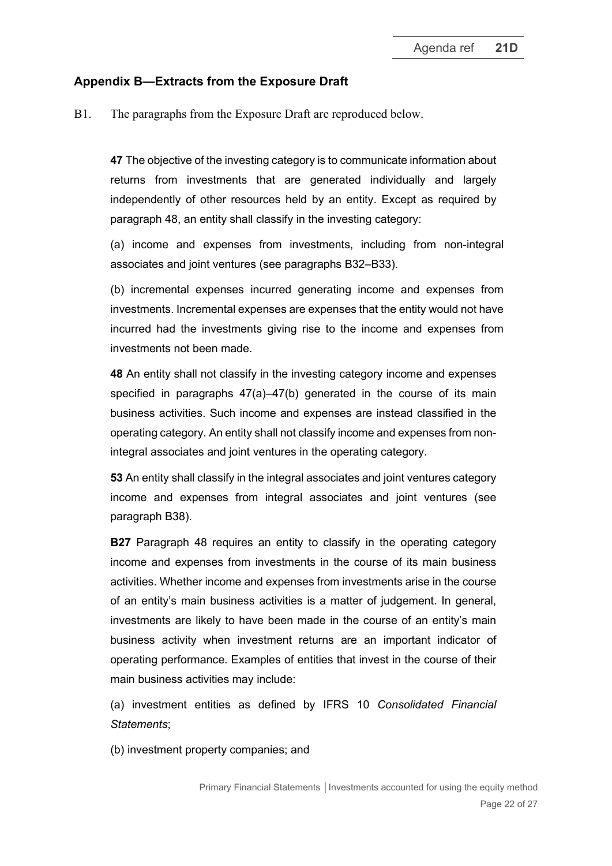## **Appendix B—Extracts from the Exposure Draft**

B1. The paragraphs from the Exposure Draft are reproduced below.

**47** The objective of the investing category is to communicate information about returns from investments that are generated individually and largely independently of other resources held by an entity. Except as required by paragraph 48, an entity shall classify in the investing category:

(a) income and expenses from investments, including from non-integral associates and joint ventures (see paragraphs B32–B33).

(b) incremental expenses incurred generating income and expenses from investments. Incremental expenses are expenses that the entity would not have incurred had the investments giving rise to the income and expenses from investments not been made.

**48** An entity shall not classify in the investing category income and expenses specified in paragraphs  $47(a)$ – $47(b)$  generated in the course of its main business activities. Such income and expenses are instead classified in the operating category. An entity shall not classify income and expenses from nonintegral associates and joint ventures in the operating category.

**53** An entity shall classify in the integral associates and joint ventures category income and expenses from integral associates and joint ventures (see paragraph B38).

**B27** Paragraph 48 requires an entity to classify in the operating category income and expenses from investments in the course of its main business activities. Whether income and expenses from investments arise in the course of an entity's main business activities is a matter of judgement. In general, investments are likely to have been made in the course of an entity's main business activity when investment returns are an important indicator of operating performance. Examples of entities that invest in the course of their main business activities may include:

(a) investment entities as defined by IFRS 10 *Consolidated Financial Statements*;

(b) investment property companies; and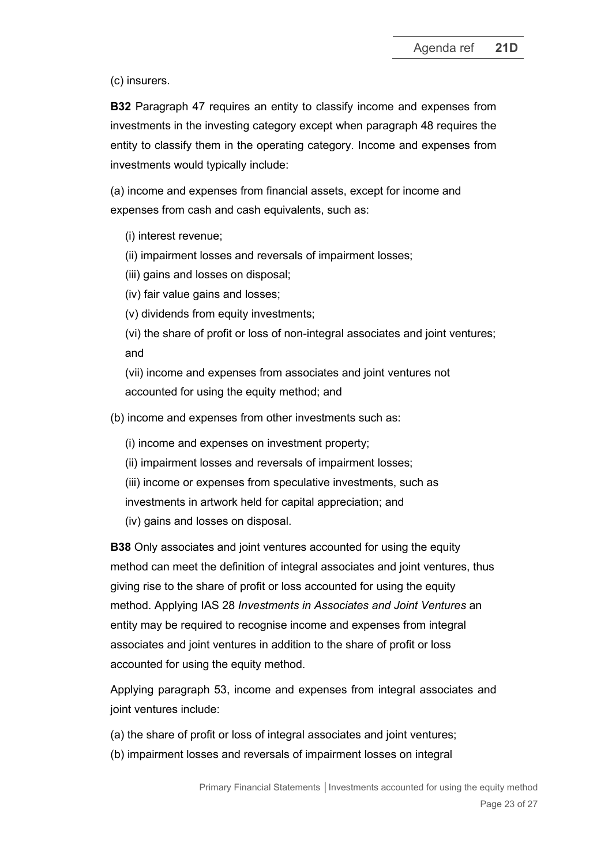(c) insurers.

**B32** Paragraph 47 requires an entity to classify income and expenses from investments in the investing category except when paragraph 48 requires the entity to classify them in the operating category. Income and expenses from investments would typically include:

(a) income and expenses from financial assets, except for income and expenses from cash and cash equivalents, such as:

(i) interest revenue;

(ii) impairment losses and reversals of impairment losses;

(iii) gains and losses on disposal;

(iv) fair value gains and losses;

(v) dividends from equity investments;

(vi) the share of profit or loss of non-integral associates and joint ventures; and

(vii) income and expenses from associates and joint ventures not accounted for using the equity method; and

(b) income and expenses from other investments such as:

(i) income and expenses on investment property;

- (ii) impairment losses and reversals of impairment losses;
- (iii) income or expenses from speculative investments, such as

investments in artwork held for capital appreciation; and

(iv) gains and losses on disposal.

**B38** Only associates and joint ventures accounted for using the equity method can meet the definition of integral associates and joint ventures, thus giving rise to the share of profit or loss accounted for using the equity method. Applying IAS 28 *Investments in Associates and Joint Ventures* an entity may be required to recognise income and expenses from integral associates and joint ventures in addition to the share of profit or loss accounted for using the equity method.

Applying paragraph 53, income and expenses from integral associates and joint ventures include:

- (a) the share of profit or loss of integral associates and joint ventures;
- (b) impairment losses and reversals of impairment losses on integral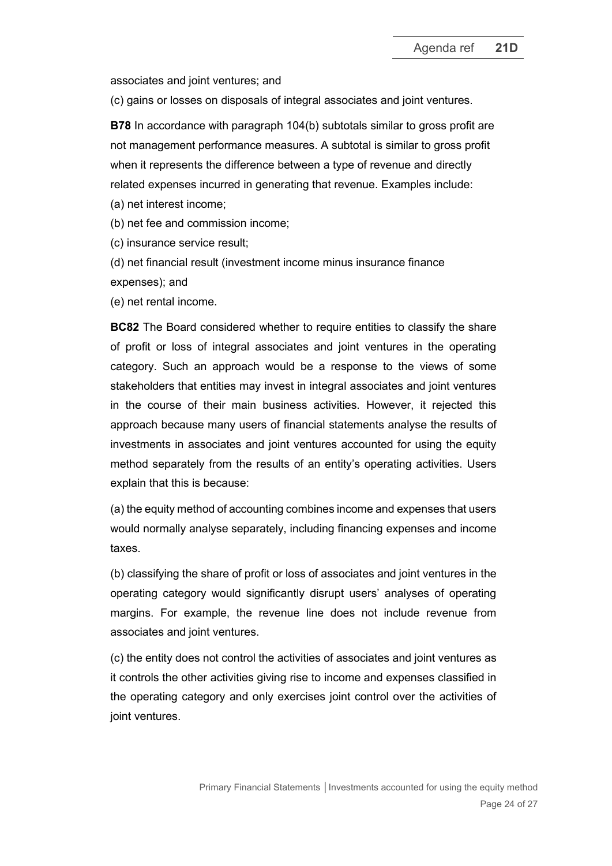associates and joint ventures; and

(c) gains or losses on disposals of integral associates and joint ventures.

**B78** In accordance with paragraph 104(b) subtotals similar to gross profit are not management performance measures. A subtotal is similar to gross profit when it represents the difference between a type of revenue and directly related expenses incurred in generating that revenue. Examples include:

(a) net interest income;

(b) net fee and commission income;

(c) insurance service result;

(d) net financial result (investment income minus insurance finance expenses); and

(e) net rental income.

**BC82** The Board considered whether to require entities to classify the share of profit or loss of integral associates and joint ventures in the operating category. Such an approach would be a response to the views of some stakeholders that entities may invest in integral associates and joint ventures in the course of their main business activities. However, it rejected this approach because many users of financial statements analyse the results of investments in associates and joint ventures accounted for using the equity method separately from the results of an entity's operating activities. Users explain that this is because:

(a) the equity method of accounting combines income and expenses that users would normally analyse separately, including financing expenses and income taxes.

(b) classifying the share of profit or loss of associates and joint ventures in the operating category would significantly disrupt users' analyses of operating margins. For example, the revenue line does not include revenue from associates and joint ventures.

(c) the entity does not control the activities of associates and joint ventures as it controls the other activities giving rise to income and expenses classified in the operating category and only exercises joint control over the activities of joint ventures.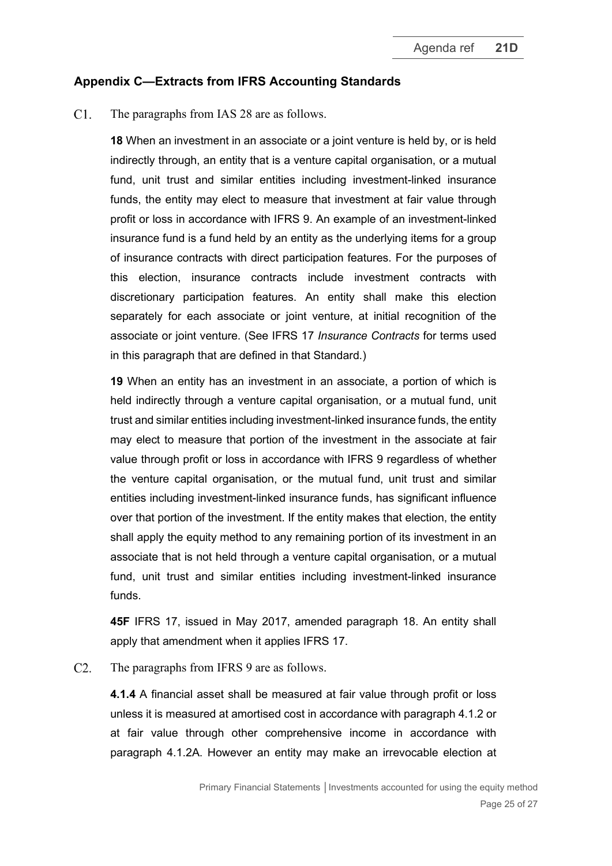## **Appendix C—Extracts from IFRS Accounting Standards**

 $C1.$ The paragraphs from IAS 28 are as follows.

> **18** When an investment in an associate or a joint venture is held by, or is held indirectly through, an entity that is a venture capital organisation, or a mutual fund, unit trust and similar entities including investment-linked insurance funds, the entity may elect to measure that investment at fair value through profit or loss in accordance with IFRS 9. An example of an investment-linked insurance fund is a fund held by an entity as the underlying items for a group of insurance contracts with direct participation features. For the purposes of this election, insurance contracts include investment contracts with discretionary participation features. An entity shall make this election separately for each associate or joint venture, at initial recognition of the associate or joint venture. (See IFRS 17 *Insurance Contracts* for terms used in this paragraph that are defined in that Standard.)

> **19** When an entity has an investment in an associate, a portion of which is held indirectly through a venture capital organisation, or a mutual fund, unit trust and similar entities including investment-linked insurance funds, the entity may elect to measure that portion of the investment in the associate at fair value through profit or loss in accordance with IFRS 9 regardless of whether the venture capital organisation, or the mutual fund, unit trust and similar entities including investment-linked insurance funds, has significant influence over that portion of the investment. If the entity makes that election, the entity shall apply the equity method to any remaining portion of its investment in an associate that is not held through a venture capital organisation, or a mutual fund, unit trust and similar entities including investment-linked insurance funds.

> **45F** IFRS 17, issued in May 2017, amended paragraph 18. An entity shall apply that amendment when it applies IFRS 17.

 $C2.$ The paragraphs from IFRS 9 are as follows.

> **4.1.4** A financial asset shall be measured at fair value through profit or loss unless it is measured at amortised cost in accordance with paragraph 4.1.2 or at fair value through other comprehensive income in accordance with paragraph 4.1.2A. However an entity may make an irrevocable election at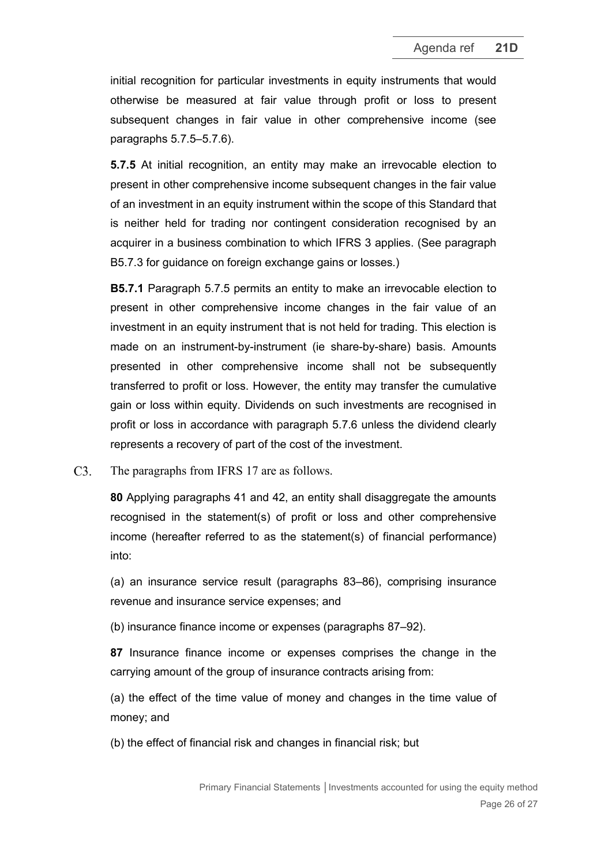initial recognition for particular investments in equity instruments that would otherwise be measured at fair value through profit or loss to present subsequent changes in fair value in other comprehensive income (see paragraphs 5.7.5–5.7.6).

**5.7.5** At initial recognition, an entity may make an irrevocable election to present in other comprehensive income subsequent changes in the fair value of an investment in an equity instrument within the scope of this Standard that is neither held for trading nor contingent consideration recognised by an acquirer in a business combination to which IFRS 3 applies. (See paragraph B5.7.3 for guidance on foreign exchange gains or losses.)

**B5.7.1** Paragraph 5.7.5 permits an entity to make an irrevocable election to present in other comprehensive income changes in the fair value of an investment in an equity instrument that is not held for trading. This election is made on an instrument-by-instrument (ie share-by-share) basis. Amounts presented in other comprehensive income shall not be subsequently transferred to profit or loss. However, the entity may transfer the cumulative gain or loss within equity. Dividends on such investments are recognised in profit or loss in accordance with paragraph 5.7.6 unless the dividend clearly represents a recovery of part of the cost of the investment.

 $C3.$ The paragraphs from IFRS 17 are as follows.

> **80** Applying paragraphs 41 and 42, an entity shall disaggregate the amounts recognised in the statement(s) of profit or loss and other comprehensive income (hereafter referred to as the statement(s) of financial performance) into:

> (a) an insurance service result (paragraphs 83–86), comprising insurance revenue and insurance service expenses; and

(b) insurance finance income or expenses (paragraphs 87–92).

**87** Insurance finance income or expenses comprises the change in the carrying amount of the group of insurance contracts arising from:

(a) the effect of the time value of money and changes in the time value of money; and

(b) the effect of financial risk and changes in financial risk; but